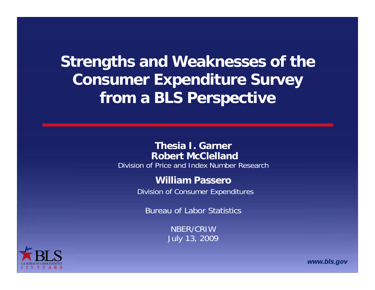**Strengths and Weaknesses of the Consumer Expenditure Survey from a BLS Perspective**

#### **Thesia I. Garner Robert McClelland**

Division of Price and Index Number Research

#### **William Passero**

Division of Consumer Expenditures

Bureau of Labor Statistics

NBER/CRIWJuly 13, 2009



*www.bls.gov*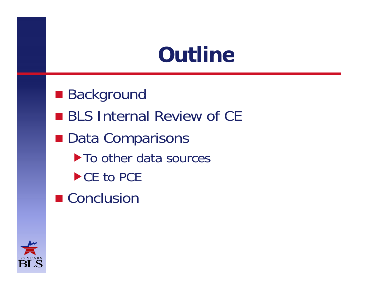# **Outline**

**Background BLS Internal Review of CE** ■ Data Comparisons  $\blacktriangleright$  To other data sources ▶ CE to PCE ■ Conclusion

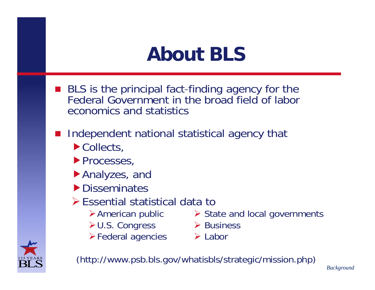## **About BLS**

- **BLS** is the principal fact-finding agency for the Federal Government in the broad field of labor economics and statistics
- **Service Service**  Independent national statistical agency that
	- ▶ Collects,
	- **Processes,**
	- Analyzes, and
	- **Disseminates**
	- Essential statistical data to
		-
		- ≻ U.S. Congress > Business
		- **Example 2 Federal agencies Example 2 Federal agencies**
		- $\triangleright$  American public  $\triangleright$  State and local governments
			-
			-



(http://www.psb.bls.gov/whatisbls/strategic/mission.php)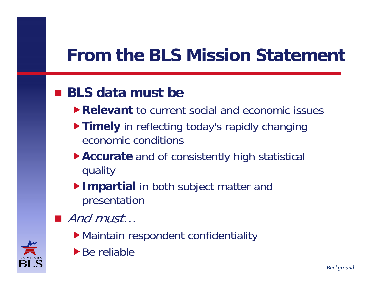#### **From the BLS Mission Statement**,我们就是一个人的人,我们就是一个人的人,我们就是一个人的人,我们就是一个人的人,我们就是一个人的人,我们就是一个人的人,我们就是一个人的人,我们就是一个人的人

#### **BLS data must be**

- **Relevant** to current social and economic issues
- **Timely** in reflecting today's rapidly changing economic conditions
- **Accurate** and of consistently high statistical quality
- **Impartial** in both subject matter and presentation
- And must...
	- Maintain respondent confidentiality
	- $\blacktriangleright$  Be reliable

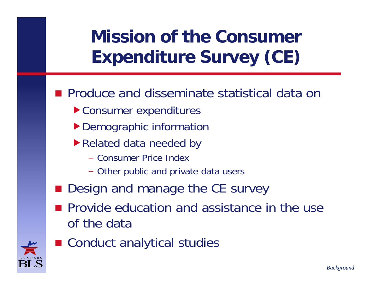## **Mission of the Consumer Expenditure Survey (CE)**

- **Produce and disseminate statistical data on** 
	- ▶ Consumer expenditures
	- $\blacktriangleright$  Demographic information
	- ▶ Related data needed by
		- Consumer Price Index
		- Other public and private data users
- **Design and manage the CE survey**
- **Provide education and assistance in the use** of the data



■ Conduct analytical studies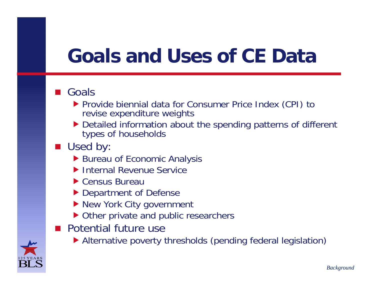## **Goals and Uses of CE Data**

#### ■ Goals

- ▶ Provide biennial data for Consumer Price Index (CPI) to revise expenditure weights
- Detailed information about the spending patterns of different types of households
- Used by:
	- ▶ Bureau of Economic Analysis
	- ▶ Internal Revenue Service
	- ▶ Census Bureau
	- ▶ Department of Defense
	- ▶ New York City government
	- ▶ Other private and public researchers
- **Potential future use** 
	- Alternative poverty thresholds (pending federal legislation)

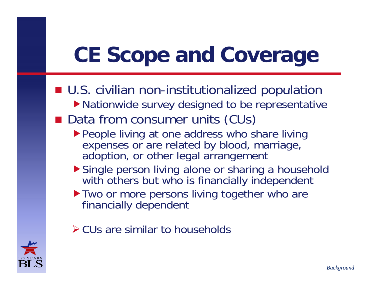# **CE Scope and Coverage**

■ U.S. civilian non-institutionalized population ▶ Nationwide survey designed to be representative

#### ■ Data from consumer units (CUs)

- ▶ People living at one address who share living expenses or are related by blood, marriage, adoption, or other legal arrangement
- Single person living alone or sharing a household with others but who is financially independent
- I Two or more persons living together who are financially dependent
- $\triangleright$  CUs are similar to households

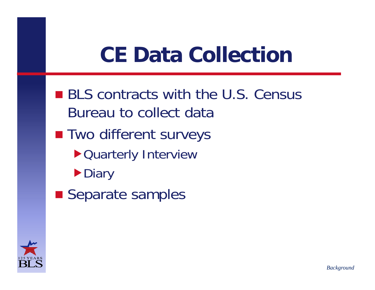# **CE Data Collection**

- **BLS contracts with the U.S. Census** Bureau to collect data
- **Two different surveys** 
	- Quarterly Interview
	- **Diary**
- **Separate samples**

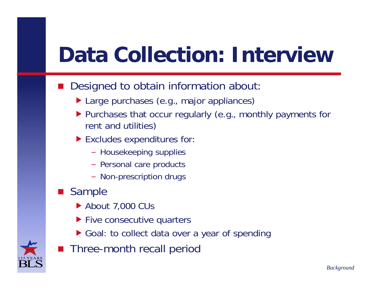# **Data Collection: Interview**

- Designed to obtain information about:
	- ▶ Large purchases (e.g., major appliances)
	- ▶ Purchases that occur regularly (e.g., monthly payments for rent and utilities)
	- ▶ Excludes expenditures for:
		- Housekeeping supplies
		- Personal care products
		- Non-prescription drugs
- **Sample** 
	- ▶ About 7,000 CUs
	- ▶ Five consecutive quarters
	- $\blacktriangleright$  Goal: to collect data over a year of spending



**Three-month recall period**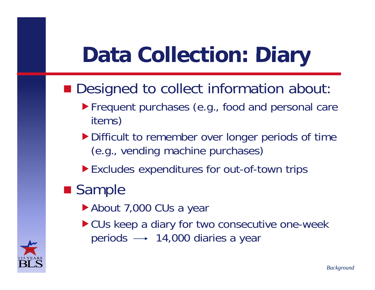# **Data Collection: Diary**

#### **Designed to collect information about:**

- **Frequent purchases (e.g., food and personal care** items)
- Difficult to remember over longer periods of time (e.g., vending machine purchases)
- **Excludes expenditures for out-of-town trips**

### **Sample**

- ▶ About 7,000 CUs a year
- ▶ CUs keep a diary for two consecutive one-week periods  $\longrightarrow$  14,000 diaries a year

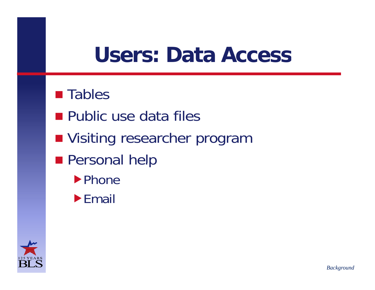## **Users: Data Access**

#### $\blacksquare$  Tables

- **Public use data files**
- **Nisiting researcher program**
- **Personal help** 
	- **Phone**
	- $\blacktriangleright$  Email

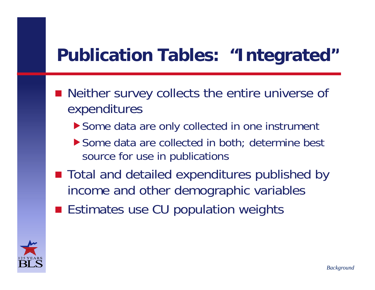### **Publication Tables: "Integrated" Integrated**

- Neither survey collects the entire universe of expenditures
	- $\blacktriangleright$  Some data are only collected in one instrument
	- ▶ Some data are collected in both; determine best source for use in publications
- Total and detailed expenditures published by income and other demographic variables
- **Estimates use CU population weights**

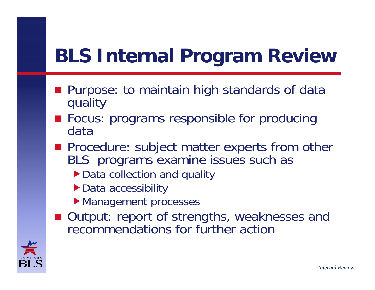# **BLS Internal Program Review**

- Purpose: to maintain high standards of data quality
- **Focus: programs responsible for producing** data
- **Procedure: subject matter experts from other** BLS programs examine issues such as
	- ▶ Data collection and quality
	- ▶ Data accessibility
	- Management processes
- Output: report of strengths, weaknesses and recommendations for further action

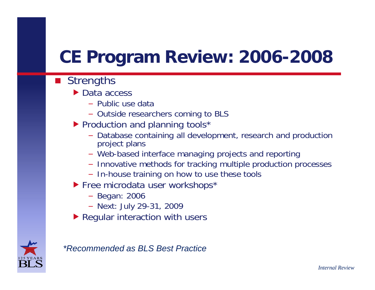### **CE P og am Re ie 2006 rog ram view: -2008**

- Strengths
	- $\triangleright$  Data access
		- Public use data
		- Outside researchers coming to BLS
	- ▶ Production and planning tools\*
		- Database containing all development, research and production project plans
		- Web-based interface managing projects and reporting
		- Innovative methods for tracking multiple production processes
		- In-house training on how to use these tools
	- ▶ Free microdata user workshops\*
		- Be gan: 2006
		- Next: July 29-31, 2009
	- ▶ Regular interaction with users



#### *\*Recommended as BLS Best Practice*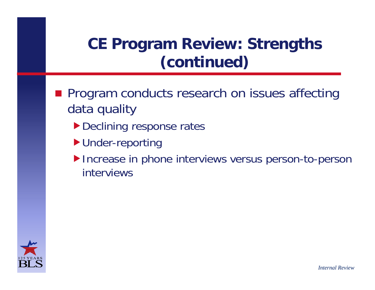### **CE Program Review: Strengths (continued)**

- **Reference research on issues affecting** data quality
	- Declining response rates
	- ▶ Under-reporting
	- Increase in phone interviews versus person-to-person interviews

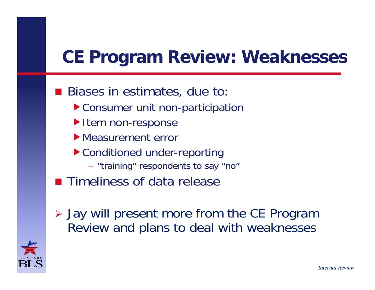### **CE P og am Re ie Weaknesses rog ram view:**

- **Biases in estimates, due to: e** ▶ Consumer unit non-participation
	- Item non-response
	- **Measurement error**
	- Conditioned under-reporting
		- "training" respondents to say "no"
- **Timeliness of data release**
- Jay will present more from the CE Program Review and plans to deal with weaknesses

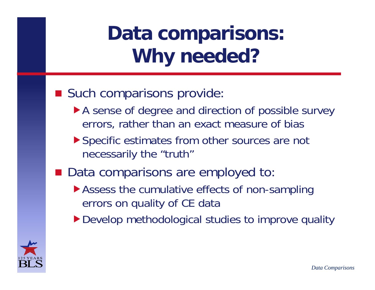# **Data comparisons: Why needed?**

#### **Such comparisons provide:**

- A sense of degree and direction of possible survey errors, rather than an exact measure of bias
- ▶ Specific estimates from other sources are not necessarily the "truth"
- Data comparisons are employed to:
	- ▶ Assess the cumulative effects of non-sampling errors on quality of CE data
	- ▶ Develop methodological studies to improve quality

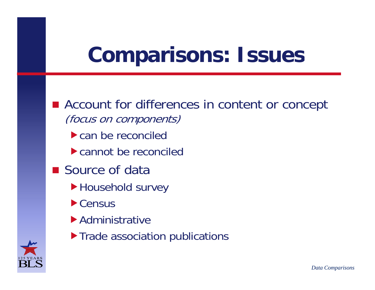# **Comparisons: Issues**

- Account for differences in content or concept (focus on components)
	- ▶ can be reconciled
	- cannot be reconciled
- **Source of data** 
	- Household survey
	- **Census**
	- Administrative
	- **Trade association publications**

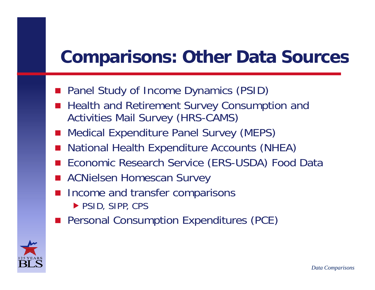### **Compa isons Othe Data So ces risons: Other Sources**

- **Panel Study of Income Dynamics (PSID)**
- **Health and Retirement Survey Consumption and** Activities Mail Survey (HRS-CAMS)
- **Nedical Expenditure Panel Survey (MEPS)**
- National Health Expenditure Accounts (NHEA)
- Economic Research Service (ERS-USDA) Food Data
- ACNielsen Homescan Survey
- Income and transfer comparisons ▶ PSID, SIPP, CPS
- **Personal Consumption Expenditures (PCE)**

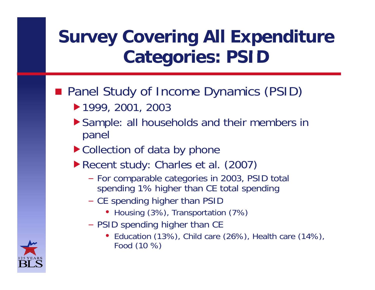### **Survey Covering All Expenditure Categories: PSID**

#### **Panel Study of Income Dynamics (PSID)**

- 1999, 2001, 2003
- Sample: all households and their members in panel
- ▶ Collection of data by phone
- Recent study: Charles et al. (2007)
	- For comparable categories in 2003, PSID total spending 1% higher than CE total spending
	- CE spending higher than PSID
		- Housing (3%), Transportation (7%)
	- PSID spending higher than CE
		- Education (13%), Child care (26%), Health care (14%), Food (10 %)

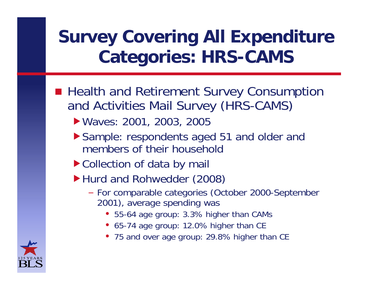### **Survey Covering All Expenditure Categories: HRS-CAMS**

- **Realth and Retirement Survey Consumption** and Activities Mail Survey (HRS-CAMS)
	- ▶ Waves: 2001, 2003, 2005
	- ▶ Sample: respondents aged 51 and older and members of their household
	- ▶ Collection of data by mail
	- ▶ Hurd and Rohwedder (2008)
		- For comparable categories (October 2000-September 2001), average spending was
			- 55-64 age group: 3.3% higher than CAMs
			- 65-74 age group: 12.0% higher than CE
			- 75 and over age group: 29.8% higher than CE

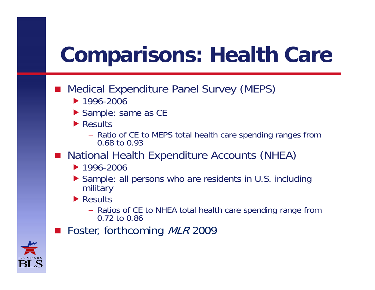# **Comparisons: Health Care**

- **Service Service**  Medical Expenditure Panel Survey (MEPS)
	- **1996-2006**
	- ▶ Sample: same as CE
	- ▶ Results
		- Ratio of CE to MEPS total health care spending ranges from 0.68 to 0.93
- **National Health Expenditure Accounts (NHEA)** 
	- **1996-2006**
	- ▶ Sample: all persons who are residents in U.S. including military
	- ▶ Results
		- Ratios of CE to NHEA total health care spending range from 0.72 to 0.86
- ■ Foster, forthcoming MLR 2009

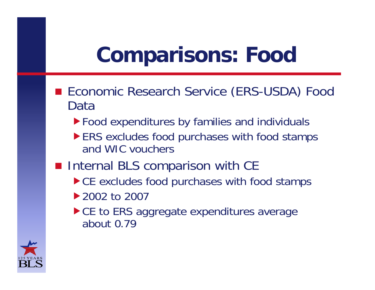# **Comparisons: Food**

- Economic Research Service (ERS-USDA) Food Data
	- In Food expenditures by families and individuals
	- ERS excludes food purchases with food stamps and WIC vouchers
- **Internal BLS comparison with CE** 
	- ▶ CE excludes food purchases with food stamps
	- ▶ 2002 to 2007 the contract of the contract of the contract of the contract of the contract of the contract of the contract of
	- ► CE to ERS aggregate expenditures average about 0.79

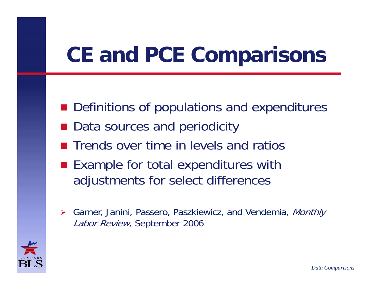# **CE and PCE Comparisons**

- **Definitions of populations and expenditures**
- Data sources and periodicity
- $\blacksquare$  Trends over time in levels and ratios
- Example for total expenditures with adjustments for select differences
- $\blacktriangleright$  Garner, Janini, Passero, Paszkiewicz, and Vendemia, Monthly Labor Review, September 2006

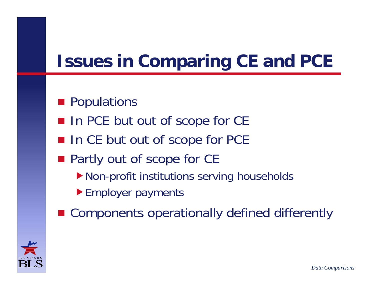### **Issues in Comparing CE and PCE**

#### **Populations**

- In PCE but out of scope for CE
- In CE but out of scope for PCE
- **Partly out of scope for CE** 
	- Non-profit institutions serving households
	- Employer payments
- Components operationally defined differently

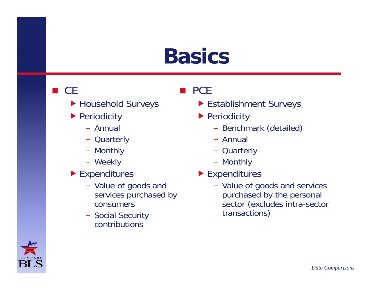## **Basics**

 $\blacksquare$  PCE

#### $\blacksquare$  CE

- ▶ Household Surveys
- ▶ Periodicity
	- Annual–
	- Quarterly
	- Monthly
	- Weekly
- ▶ Expenditures
	- Value of goods and services purchased by consumers
	- Social Security contributions

#### Establishment Surveys

- ▶ Periodicity
- Benchmark (detailed)
	- Annual
	- Quarterly
	- Monthly
	- ▶ Expenditures
		- Value of goods and services purchased by the personal sector (excludes intra-sector transactions)

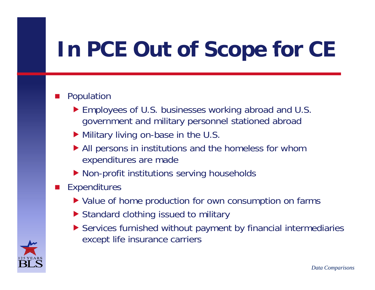# **In PCE Out of Scope for CE**

#### П Population

- ▶ Employees of U.S. businesses working abroad and U.S. government and military personnel stationed abroad
- Military living on-base in the U.S.
- All persons in institutions and the homeless for whom ex penditures are made
- ▶ Non-profit institutions serving households

#### **Expenditures**

- ▶ Value of home production for own consumption on farms
- ▶ Standard clothing issued to military
- Services furnished without payment by financial intermediaries except life insurance carriers

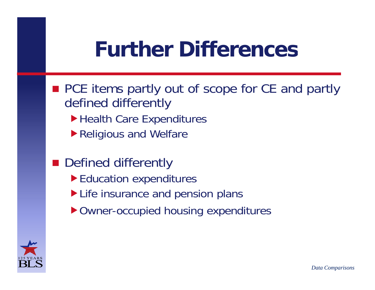# **Further Differences**

- PCE items partly out of scope for CE and partly defined differently
	- Health Care Expenditures
	- ▶ Religious and Welfare
- **Defined differently** 
	- Education expenditures
	- Life insurance and pension plans
	- ▶ Owner-occupied housing expenditures

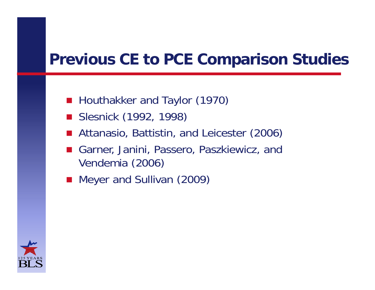### **P i CE PCE C i S di Previous CE to Comparison Studies**

- **Houthakker and Taylor (1970)**
- Slesnick (1992, 1998)
- Attanasio, Battistin, and Leicester (2006)
- Garner, Janini, Passero, Paszkiewicz, and Vendemia (2006)
- **Meyer and Sullivan (2009)**

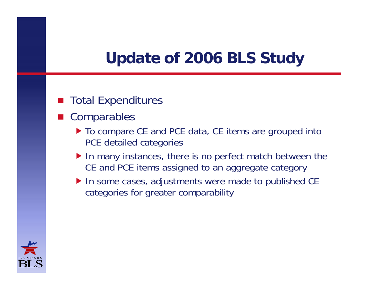### Update of 2006 BLS Study

#### Total Expenditures

- Comparables
	- ▶ To compare CE and PCE data, CE items are grouped into PCE detailed categories
	- ▶ In many instances, there is no perfect match between the CE and PCE items assigned to an aggregate category
	- ▶ In some cases, adjustments were made to published CE categories for greater comparability

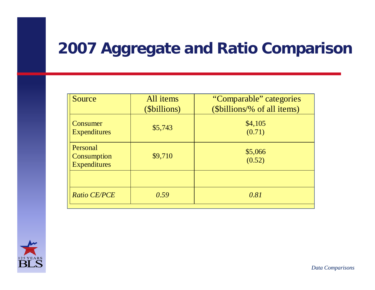#### **2007 Aggregate and Ratio Comparison**

| Source                                         | All items<br>( <i>Sbillions</i> ) | "Comparable" categories<br>(\$billions/% of all items) |
|------------------------------------------------|-----------------------------------|--------------------------------------------------------|
| Consumer<br><b>Expenditures</b>                | \$5,743                           | \$4,105<br>(0.71)                                      |
| Personal<br>Consumption<br><b>Expenditures</b> | \$9,710                           | \$5,066<br>(0.52)                                      |
|                                                |                                   |                                                        |
| Ratio CE/PCE                                   | 0.59                              | 0.81                                                   |

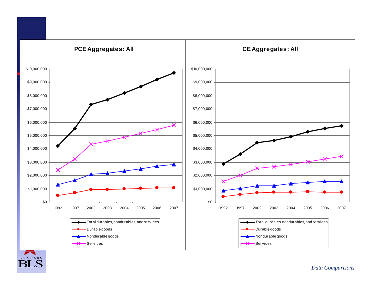

*Data Comparisons*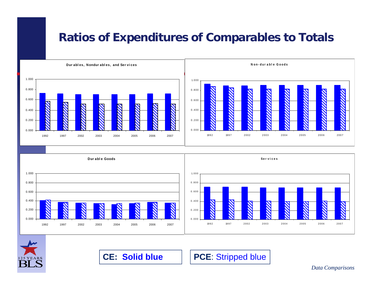#### **Ratios of Expenditures of Comparables to Totals**





**CE: Solid blue**

**PCE**: Stripped blue

*Data Comparisons*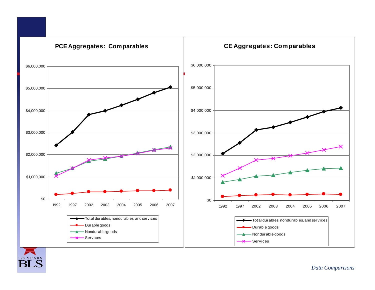

125 YEARS

*Data Comparisons*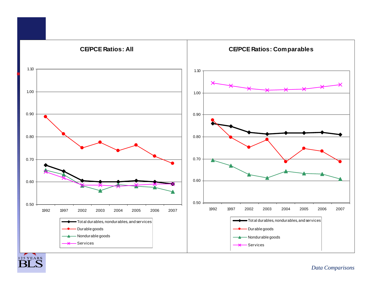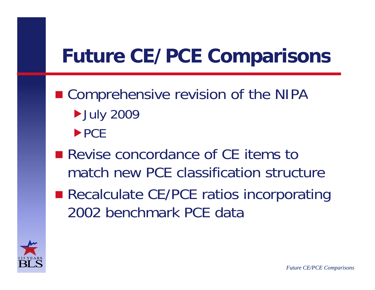# **Future CE/PCE Comparisons**

- Comprehensive revision of the NIPA **July 2009**  $\blacktriangleright$  PCE
- Revise concordance of CE items to match new PCE classification structure
- **Recalculate CE/PCE ratios incorporating** 2002 benchmark PCE data

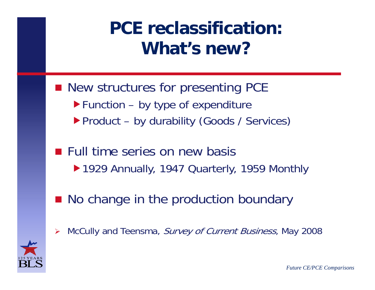### **PCE reclassification: What s' new?**

- New structures for presenting PCE  $\blacktriangleright$  Function – by type of expenditure Product - by durability (Goods / Services)
- **Full time series on new basis** ▶ 1929 Annually, 1947 Quarterly, 1959 Monthly
- No change in the production boundary
- $\blacktriangleright$ > McCully and Teensma, Survey of Current Business, May 2008

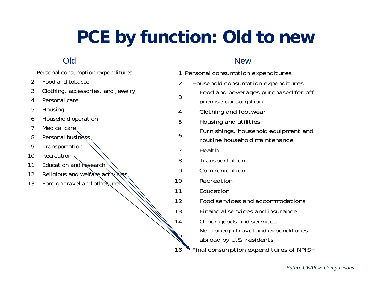### **PCE by function: Old to new**

#### Old

|    | 1 Personal consumption expenditures |           | 1 Personal consumption expenditures   |
|----|-------------------------------------|-----------|---------------------------------------|
| 2  | Food and tobacco                    | 2         | Household consumption expenditures    |
| 3  | Clothing, accessories, and jewelry  |           | Food and beverages purchased for off- |
| 4  | Personal care                       | 3         | premise consumption                   |
| 5  | Housing                             | 4         | Clothing and footwear                 |
| 6  | Household operation                 | 5         | Housing and utilities                 |
| 7  | Medical care                        |           | Furnishings, household equipment and  |
| 8  | Personal business                   | 6         | routine household maintenance         |
| 9  | Transportation                      | 7         | Health                                |
| 10 | Recreation                          | 8         | Transportation                        |
| 11 | Education and research              | 9         | Communication                         |
| 12 | Religious and welfare activities    |           |                                       |
| 13 | Foreign travel and other net        | 10        | Recreation                            |
|    |                                     | 11        | Education                             |
|    |                                     | 12        | Food services and accommodations      |
|    |                                     | 13        | Financial services and insurance      |
|    |                                     | 14        | Other goods and services              |
|    |                                     | <b>AS</b> | Net foreign travel and expenditures   |

abroad by U.S. residents

**New** 

16 Final consumption expenditures of NPISH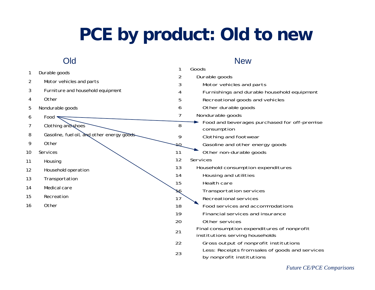### **PCE by product: Old to new**

#### Oldd and the second second second second second second second second second second second second second second second second second second second second second second second second second second second second second second se

#### Goods Durable goods Motor vehicles and parts Durable goods Motor vehicles and parts Furniture and household equipment Furnishings and durable household equipment Recreational goods and vehicles Other durable goods Nondurable goods Food and beverages purchased for off-premise Other Nondurable goods FoodClothing and shoes consumption Clothing and footwear Gasoline and other energy goods 11 Other non-durable goods Services 8 Gasoline, fuel oil, and other energy goods Other Services Housing Household consumption expenditures Housing and utilities Health careTransportation services Recreational services Household operation Transportation Medical care Recreation Food services and accommodations Financial services and insurance Other services Final consumption expenditures of nonprofit institutions serving households Other Gross output of nonprofit institutions Less: Receipts from sales of goods and services by nonprofit institutions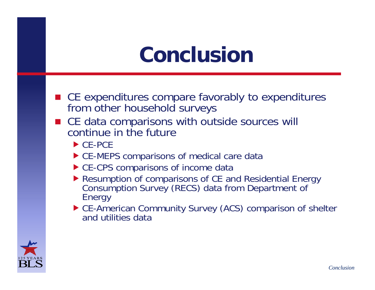# **Conclusion**

- CE expenditures compare favorably to expenditures from other household surveys
- CE data comparisons with outside sources will continue in the future
	- $\triangleright$  CE-PCE
	- ▶ CE-MEPS comparisons of medical care data
	- ▶ CE-CPS comparisons of income data
	- Resumption of comparisons of CE and Residential Energy Consumption Survey (RECS) data from Department of Energy
	- ▶ CE-American Community Survey (ACS) comparison of shelter and utilities data

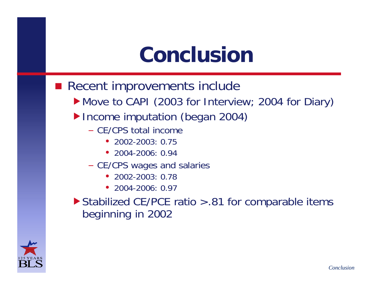# **Conclusion**

- $\blacksquare$  Recent improvements include
	- Move to CAPI (2003 for Interview; 2004 for Diary)
	- ▶ Income imputation (began 2004)
		- CE/CPS total income
			- 2002-2003: 0.75
			- 2004-2006: 0.94
		- CE/CPS wages and salaries
			- 2002-2003: 0.78
			- 2004-2006: 0.97
	- $\triangleright$  Stabilized CE/PCE ratio > .81 for comparable items beginning in 2002

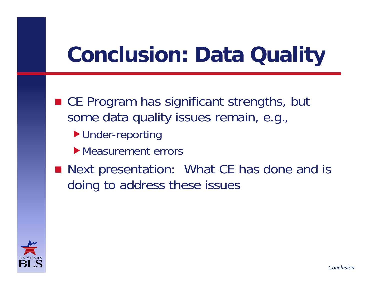# **Conclusion: Data Quality**

- CE Program has significant strengths, but some data quality issues remain, e.g.,
	- ▶ Under-reporting
	- **Measurement errors**
- Next presentation: What CE has done and is doing to address these issues